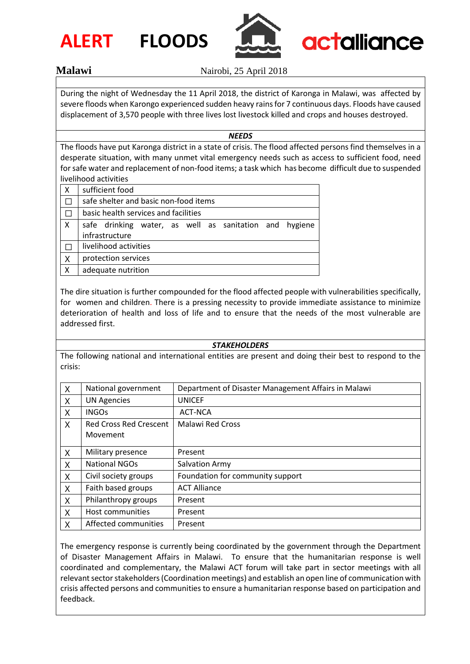



**Malawi** Nairobi, 25 April 2018

During the night of Wednesday the 11 April 2018, the district of Karonga in Malawi, was affected by severe floods when Karongo experienced sudden heavy rains for 7 continuous days. Floods have caused displacement of 3,570 people with three lives lost livestock killed and crops and houses destroyed.

## *NEEDS*

The floods have put Karonga district in a state of crisis. The flood affected persons find themselves in a desperate situation, with many unmet vital emergency needs such as access to sufficient food, need for safe water and replacement of non-food items; a task which has become difficult due to suspended livelihood activities

| Χ | sufficient food                                        |  |  |  |
|---|--------------------------------------------------------|--|--|--|
|   | safe shelter and basic non-food items                  |  |  |  |
|   | basic health services and facilities                   |  |  |  |
| X | safe drinking water, as well as sanitation and hygiene |  |  |  |
|   | infrastructure                                         |  |  |  |
|   | livelihood activities                                  |  |  |  |
| X | protection services                                    |  |  |  |
| X | adequate nutrition                                     |  |  |  |

The dire situation is further compounded for the flood affected people with vulnerabilities specifically, for women and children. There is a pressing necessity to provide immediate assistance to minimize deterioration of health and loss of life and to ensure that the needs of the most vulnerable are addressed first.

## *STAKEHOLDERS*

The following national and international entities are present and doing their best to respond to the crisis:

| $\mathsf{X}$ | National government                       | Department of Disaster Management Affairs in Malawi |
|--------------|-------------------------------------------|-----------------------------------------------------|
| X            | <b>UN Agencies</b>                        | <b>UNICEF</b>                                       |
| $\sf X$      | <b>INGOs</b>                              | ACT-NCA                                             |
| X            | <b>Red Cross Red Crescent</b><br>Movement | <b>Malawi Red Cross</b>                             |
| X            | Military presence                         | Present                                             |
| X            | <b>National NGOs</b>                      | <b>Salvation Army</b>                               |
| X            | Civil society groups                      | Foundation for community support                    |
| $\mathsf{X}$ | Faith based groups                        | <b>ACT Alliance</b>                                 |
| X            | Philanthropy groups                       | Present                                             |
| X            | Host communities                          | Present                                             |
| X            | Affected communities                      | Present                                             |

The emergency response is currently being coordinated by the government through the Department of Disaster Management Affairs in Malawi. To ensure that the humanitarian response is well coordinated and complementary, the Malawi ACT forum will take part in sector meetings with all relevant sector stakeholders(Coordination meetings) and establish an open line of communication with crisis affected persons and communities to ensure a humanitarian response based on participation and feedback.